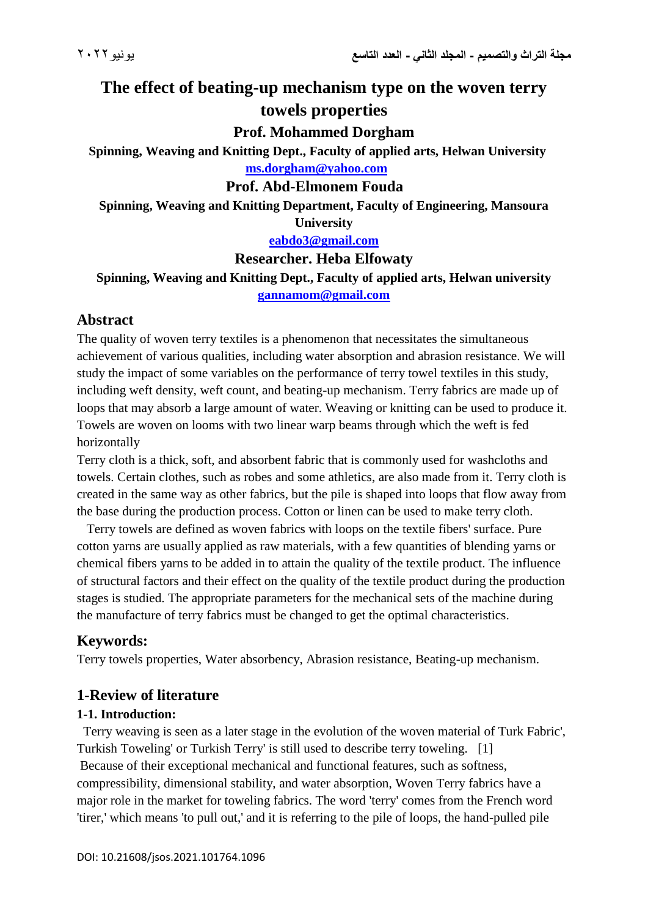# **The effect of beating-up mechanism type on the woven terry towels properties**

#### **Prof. Mohammed Dorgham**

**Spinning, Weaving and Knitting Dept., Faculty of applied arts, Helwan University [ms.dorgham@yahoo.com](mailto:ms.dorgham@yahoo.com)**

#### **Prof. Abd-Elmonem Fouda**

**Spinning, Weaving and Knitting Department, Faculty of Engineering, Mansoura University**

**[eabdo3@gmail.com](mailto:eabdo3@gmail.com)** 

#### **Researcher. Heba Elfowaty**

**Spinning, Weaving and Knitting Dept., Faculty of applied arts, Helwan university [gannamom@gmail.com](mailto:gannamom@gmail.com)** 

# **Abstract**

The quality of woven terry textiles is a phenomenon that necessitates the simultaneous achievement of various qualities, including water absorption and abrasion resistance. We will study the impact of some variables on the performance of terry towel textiles in this study, including weft density, weft count, and beating-up mechanism. Terry fabrics are made up of loops that may absorb a large amount of water. Weaving or knitting can be used to produce it. Towels are woven on looms with two linear warp beams through which the weft is fed horizontally

Terry cloth is a thick, soft, and absorbent fabric that is commonly used for washcloths and towels. Certain clothes, such as robes and some athletics, are also made from it. Terry cloth is created in the same way as other fabrics, but the pile is shaped into loops that flow away from the base during the production process. Cotton or linen can be used to make terry cloth.

 Terry towels are defined as woven fabrics with loops on the textile fibers' surface. Pure cotton yarns are usually applied as raw materials, with a few quantities of blending yarns or chemical fibers yarns to be added in to attain the quality of the textile product. The influence of structural factors and their effect on the quality of the textile product during the production stages is studied. The appropriate parameters for the mechanical sets of the machine during the manufacture of terry fabrics must be changed to get the optimal characteristics.

# **Keywords:**

Terry towels properties, Water absorbency, Abrasion resistance, Beating-up mechanism.

#### **1-Review of literature**

#### **1-1. Introduction:**

 Terry weaving is seen as a later stage in the evolution of the woven material of Turk Fabric', Turkish Toweling' or Turkish Terry' is still used to describe terry toweling. [1] Because of their exceptional mechanical and functional features, such as softness, compressibility, dimensional stability, and water absorption, Woven Terry fabrics have a major role in the market for toweling fabrics. The word 'terry' comes from the French word 'tirer,' which means 'to pull out,' and it is referring to the pile of loops, the hand-pulled pile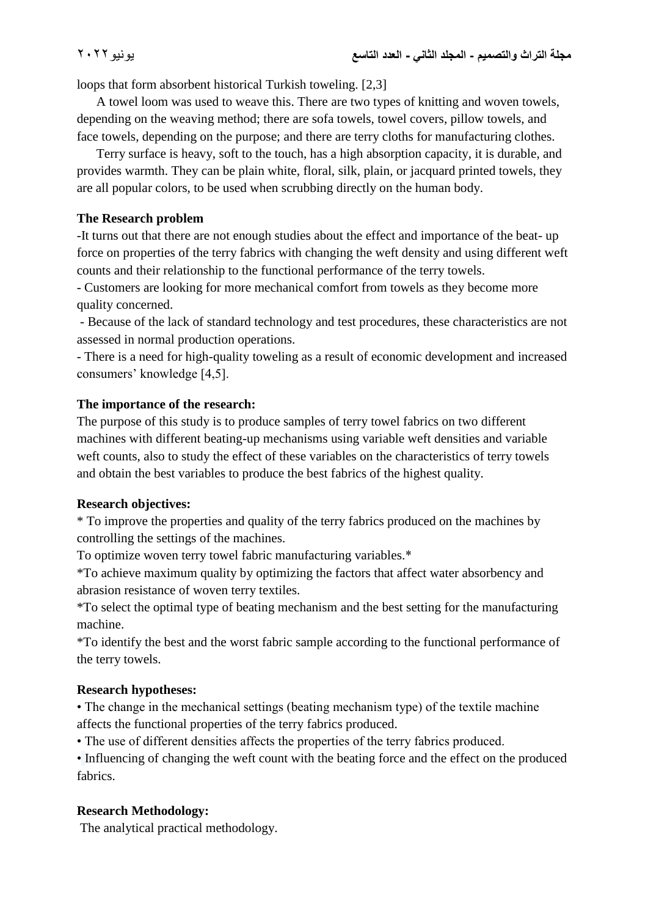loops that form absorbent historical Turkish toweling. [2,3]

 A towel loom was used to weave this. There are two types of knitting and woven towels, depending on the weaving method; there are sofa towels, towel covers, pillow towels, and face towels, depending on the purpose; and there are terry cloths for manufacturing clothes.

 Terry surface is heavy, soft to the touch, has a high absorption capacity, it is durable, and provides warmth. They can be plain white, floral, silk, plain, or jacquard printed towels, they are all popular colors, to be used when scrubbing directly on the human body.

# **The Research problem**

-It turns out that there are not enough studies about the effect and importance of the beat- up force on properties of the terry fabrics with changing the weft density and using different weft counts and their relationship to the functional performance of the terry towels.

- Customers are looking for more mechanical comfort from towels as they become more quality concerned.

- Because of the lack of standard technology and test procedures, these characteristics are not assessed in normal production operations.

- There is a need for high-quality toweling as a result of economic development and increased consumers' knowledge [4,5].

# **The importance of the research:**

The purpose of this study is to produce samples of terry towel fabrics on two different machines with different beating-up mechanisms using variable weft densities and variable weft counts, also to study the effect of these variables on the characteristics of terry towels and obtain the best variables to produce the best fabrics of the highest quality.

# **Research objectives:**

\* To improve the properties and quality of the terry fabrics produced on the machines by controlling the settings of the machines.

To optimize woven terry towel fabric manufacturing variables.\*

\*To achieve maximum quality by optimizing the factors that affect water absorbency and abrasion resistance of woven terry textiles.

\*To select the optimal type of beating mechanism and the best setting for the manufacturing machine.

\*To identify the best and the worst fabric sample according to the functional performance of the terry towels.

# **Research hypotheses:**

• The change in the mechanical settings (beating mechanism type) of the textile machine affects the functional properties of the terry fabrics produced.

• The use of different densities affects the properties of the terry fabrics produced.

• Influencing of changing the weft count with the beating force and the effect on the produced fabrics.

# **Research Methodology:**

The analytical practical methodology.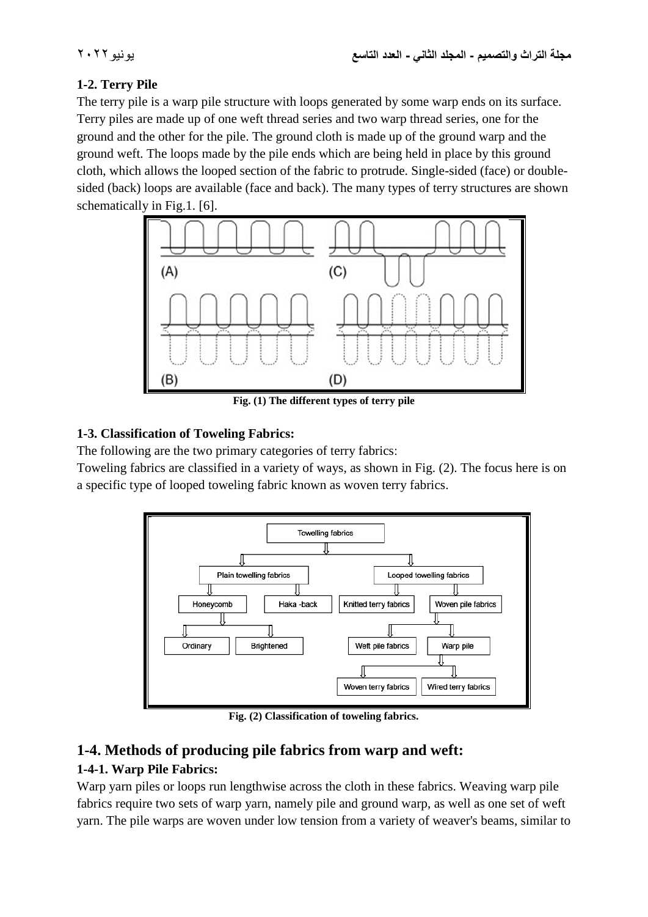# **1-2. Terry Pile**

The terry pile is a warp pile structure with loops generated by some warp ends on its surface. Terry piles are made up of one weft thread series and two warp thread series, one for the ground and the other for the pile. The ground cloth is made up of the ground warp and the ground weft. The loops made by the pile ends which are being held in place by this ground cloth, which allows the looped section of the fabric to protrude. Single-sided (face) or doublesided (back) loops are available (face and back). The many types of terry structures are shown schematically in Fig.1. [6].



**Fig. (1) The different types of terry pile**

# **1-3. Classification of Toweling Fabrics:**

The following are the two primary categories of terry fabrics:

Toweling fabrics are classified in a variety of ways, as shown in Fig. (2). The focus here is on a specific type of looped toweling fabric known as woven terry fabrics.



**Fig. (2) Classification of toweling fabrics.**

# **1-4. Methods of producing pile fabrics from warp and weft:**

# **1-4-1. Warp Pile Fabrics:**

Warp yarn piles or loops run lengthwise across the cloth in these fabrics. Weaving warp pile fabrics require two sets of warp yarn, namely pile and ground warp, as well as one set of weft yarn. The pile warps are woven under low tension from a variety of weaver's beams, similar to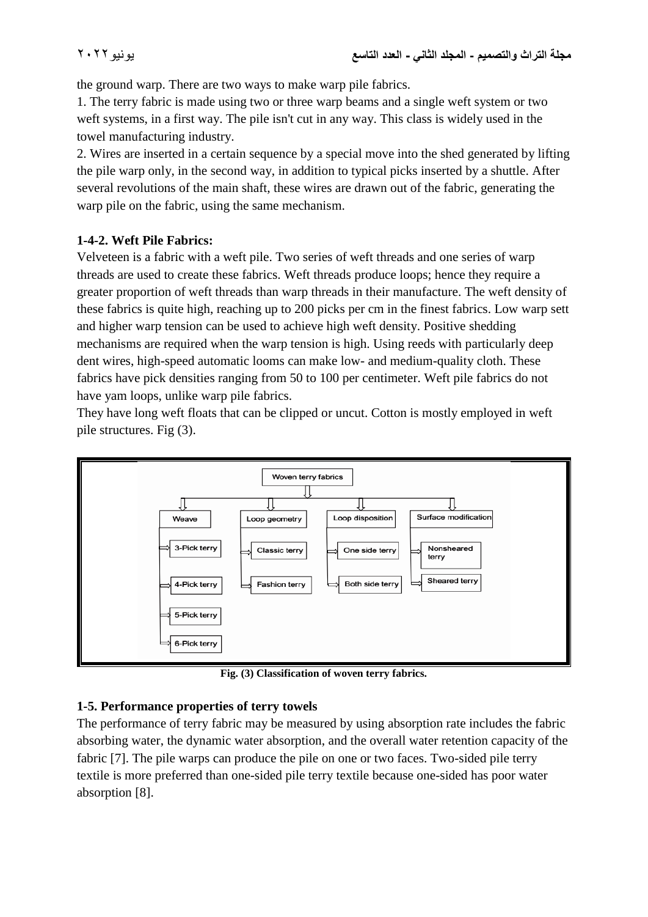the ground warp. There are two ways to make warp pile fabrics.

1. The terry fabric is made using two or three warp beams and a single weft system or two weft systems, in a first way. The pile isn't cut in any way. This class is widely used in the towel manufacturing industry.

2. Wires are inserted in a certain sequence by a special move into the shed generated by lifting the pile warp only, in the second way, in addition to typical picks inserted by a shuttle. After several revolutions of the main shaft, these wires are drawn out of the fabric, generating the warp pile on the fabric, using the same mechanism.

#### **1-4-2. Weft Pile Fabrics:**

Velveteen is a fabric with a weft pile. Two series of weft threads and one series of warp threads are used to create these fabrics. Weft threads produce loops; hence they require a greater proportion of weft threads than warp threads in their manufacture. The weft density of these fabrics is quite high, reaching up to 200 picks per cm in the finest fabrics. Low warp sett and higher warp tension can be used to achieve high weft density. Positive shedding mechanisms are required when the warp tension is high. Using reeds with particularly deep dent wires, high-speed automatic looms can make low- and medium-quality cloth. These fabrics have pick densities ranging from 50 to 100 per centimeter. Weft pile fabrics do not have yam loops, unlike warp pile fabrics.

They have long weft floats that can be clipped or uncut. Cotton is mostly employed in weft pile structures. Fig (3).



**Fig. (3) Classification of woven terry fabrics.**

# **1-5. Performance properties of terry towels**

The performance of terry fabric may be measured by using absorption rate includes the fabric absorbing water, the dynamic water absorption, and the overall water retention capacity of the fabric [7]. The pile warps can produce the pile on one or two faces. Two-sided pile terry textile is more preferred than one-sided pile terry textile because one-sided has poor water absorption [8].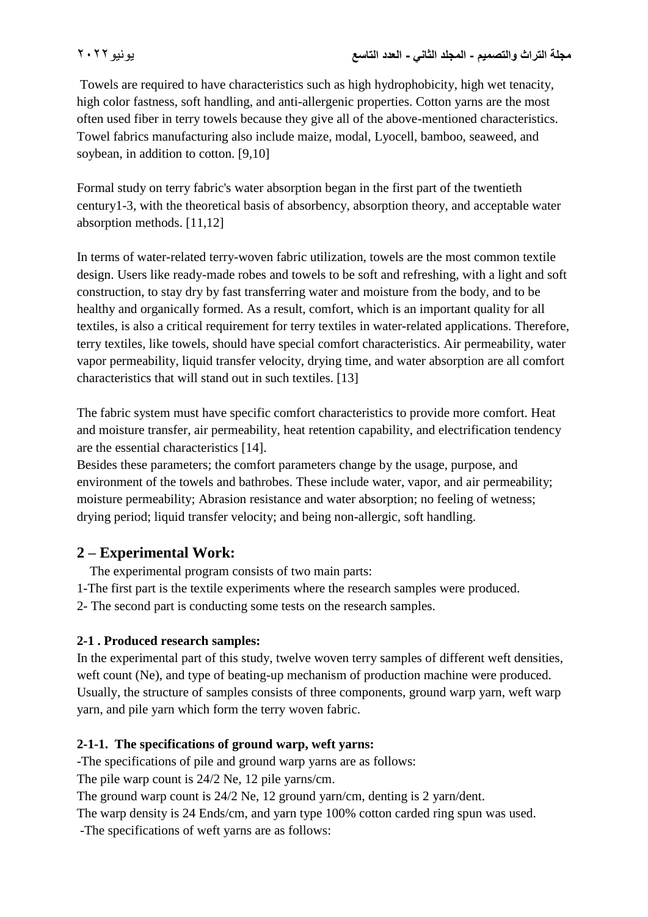Towels are required to have characteristics such as high hydrophobicity, high wet tenacity, high color fastness, soft handling, and anti-allergenic properties. Cotton yarns are the most often used fiber in terry towels because they give all of the above-mentioned characteristics. Towel fabrics manufacturing also include maize, modal, Lyocell, bamboo, seaweed, and soybean, in addition to cotton. [9,10]

Formal study on terry fabric's water absorption began in the first part of the twentieth century1-3, with the theoretical basis of absorbency, absorption theory, and acceptable water absorption methods. [11,12]

In terms of water-related terry-woven fabric utilization, towels are the most common textile design. Users like ready-made robes and towels to be soft and refreshing, with a light and soft construction, to stay dry by fast transferring water and moisture from the body, and to be healthy and organically formed. As a result, comfort, which is an important quality for all textiles, is also a critical requirement for terry textiles in water-related applications. Therefore, terry textiles, like towels, should have special comfort characteristics. Air permeability, water vapor permeability, liquid transfer velocity, drying time, and water absorption are all comfort characteristics that will stand out in such textiles. [13]

The fabric system must have specific comfort characteristics to provide more comfort. Heat and moisture transfer, air permeability, heat retention capability, and electrification tendency are the essential characteristics [14].

Besides these parameters; the comfort parameters change by the usage, purpose, and environment of the towels and bathrobes. These include water, vapor, and air permeability; moisture permeability; Abrasion resistance and water absorption; no feeling of wetness; drying period; liquid transfer velocity; and being non-allergic, soft handling.

# **2 – Experimental Work:**

The experimental program consists of two main parts:

1-The first part is the textile experiments where the research samples were produced.

2- The second part is conducting some tests on the research samples.

# **2-1 . Produced research samples:**

In the experimental part of this study, twelve woven terry samples of different weft densities, weft count (Ne), and type of beating-up mechanism of production machine were produced. Usually, the structure of samples consists of three components, ground warp yarn, weft warp yarn, and pile yarn which form the terry woven fabric.

# **2-1-1. The specifications of ground warp, weft yarns:**

-The specifications of pile and ground warp yarns are as follows:

The pile warp count is 24/2 Ne, 12 pile yarns/cm.

The ground warp count is 24/2 Ne, 12 ground yarn/cm, denting is 2 yarn/dent.

The warp density is 24 Ends/cm, and yarn type 100% cotton carded ring spun was used.

-The specifications of weft yarns are as follows: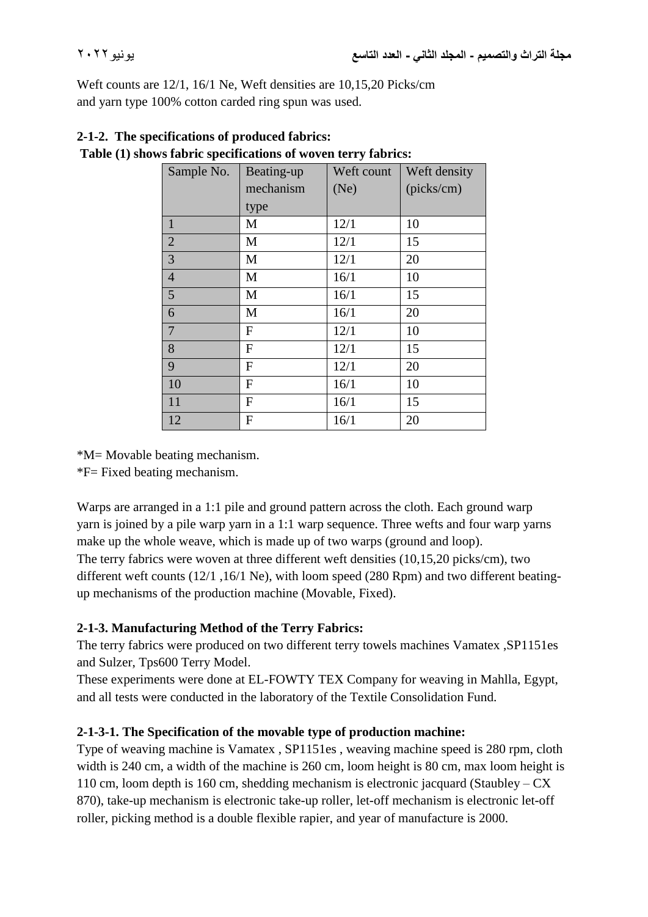Weft counts are 12/1, 16/1 Ne, Weft densities are 10,15,20 Picks/cm and yarn type 100% cotton carded ring spun was used.

| Sample No.     | Beating-up   | Weft count | Weft density |
|----------------|--------------|------------|--------------|
|                | mechanism    | (Ne)       | (picks/cm)   |
|                | type         |            |              |
| $\mathbf{1}$   | M            | 12/1       | 10           |
| $\overline{2}$ | M            | 12/1       | 15           |
| 3              | M            | 12/1       | 20           |
| $\overline{4}$ | M            | 16/1       | 10           |
| 5              | M            | 16/1       | 15           |
| 6              | M            | 16/1       | 20           |
| $\overline{7}$ | F            | 12/1       | 10           |
| 8              | $\mathbf F$  | 12/1       | 15           |
| 9              | $\mathbf{F}$ | 12/1       | 20           |
| 10             | $\mathbf F$  | 16/1       | 10           |
| 11             | F            | 16/1       | 15           |
| 12             | F            | 16/1       | 20           |

# **2-1-2. The specifications of produced fabrics: Table (1) shows fabric specifications of woven terry fabrics:**

\*M= Movable beating mechanism.

\*F= Fixed beating mechanism.

Warps are arranged in a 1:1 pile and ground pattern across the cloth. Each ground warp yarn is joined by a pile warp yarn in a 1:1 warp sequence. Three wefts and four warp yarns make up the whole weave, which is made up of two warps (ground and loop). The terry fabrics were woven at three different weft densities (10,15,20 picks/cm), two different weft counts (12/1 ,16/1 Ne), with loom speed (280 Rpm) and two different beatingup mechanisms of the production machine (Movable, Fixed).

# **2-1-3. Manufacturing Method of the Terry Fabrics:**

The terry fabrics were produced on two different terry towels machines Vamatex ,SP1151es and Sulzer, Tps600 Terry Model.

These experiments were done at EL-FOWTY TEX Company for weaving in Mahlla, Egypt, and all tests were conducted in the laboratory of the Textile Consolidation Fund.

# **2-1-3-1. The Specification of the movable type of production machine:**

Type of weaving machine is Vamatex , SP1151es , weaving machine speed is 280 rpm, cloth width is 240 cm, a width of the machine is 260 cm, loom height is 80 cm, max loom height is 110 cm, loom depth is 160 cm, shedding mechanism is electronic jacquard (Staubley – CX 870), take-up mechanism is electronic take-up roller, let-off mechanism is electronic let-off roller, picking method is a double flexible rapier, and year of manufacture is 2000.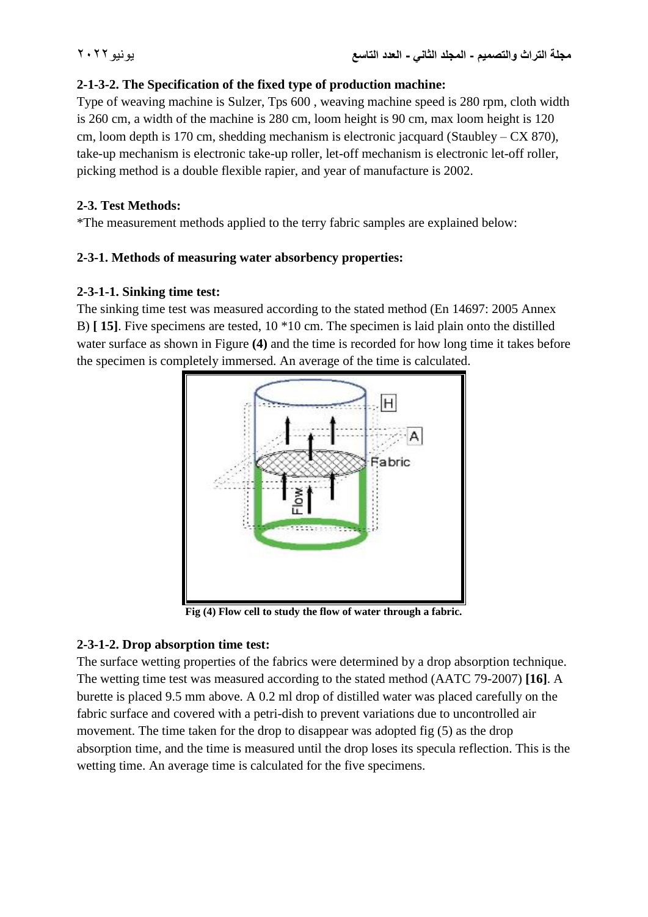### **2-1-3-2. The Specification of the fixed type of production machine:**

Type of weaving machine is Sulzer, Tps 600 , weaving machine speed is 280 rpm, cloth width is 260 cm, a width of the machine is 280 cm, loom height is 90 cm, max loom height is 120 cm, loom depth is 170 cm, shedding mechanism is electronic jacquard (Staubley – CX 870), take-up mechanism is electronic take-up roller, let-off mechanism is electronic let-off roller, picking method is a double flexible rapier, and year of manufacture is 2002.

### **2-3. Test Methods:**

\*The measurement methods applied to the terry fabric samples are explained below:

# **2-3-1. Methods of measuring water absorbency properties:**

#### **2-3-1-1. Sinking time test:**

The sinking time test was measured according to the stated method (En 14697: 2005 Annex B) **[ 15]**. Five specimens are tested, 10 \*10 cm. The specimen is laid plain onto the distilled water surface as shown in Figure **(4)** and the time is recorded for how long time it takes before the specimen is completely immersed. An average of the time is calculated.



**Fig (4) Flow cell to study the flow of water through a fabric.**

# **2-3-1-2. Drop absorption time test:**

The surface wetting properties of the fabrics were determined by a drop absorption technique. The wetting time test was measured according to the stated method (AATC 79-2007) **[16]**. A burette is placed 9.5 mm above. A 0.2 ml drop of distilled water was placed carefully on the fabric surface and covered with a petri-dish to prevent variations due to uncontrolled air movement. The time taken for the drop to disappear was adopted fig (5) as the drop absorption time, and the time is measured until the drop loses its specula reflection. This is the wetting time. An average time is calculated for the five specimens.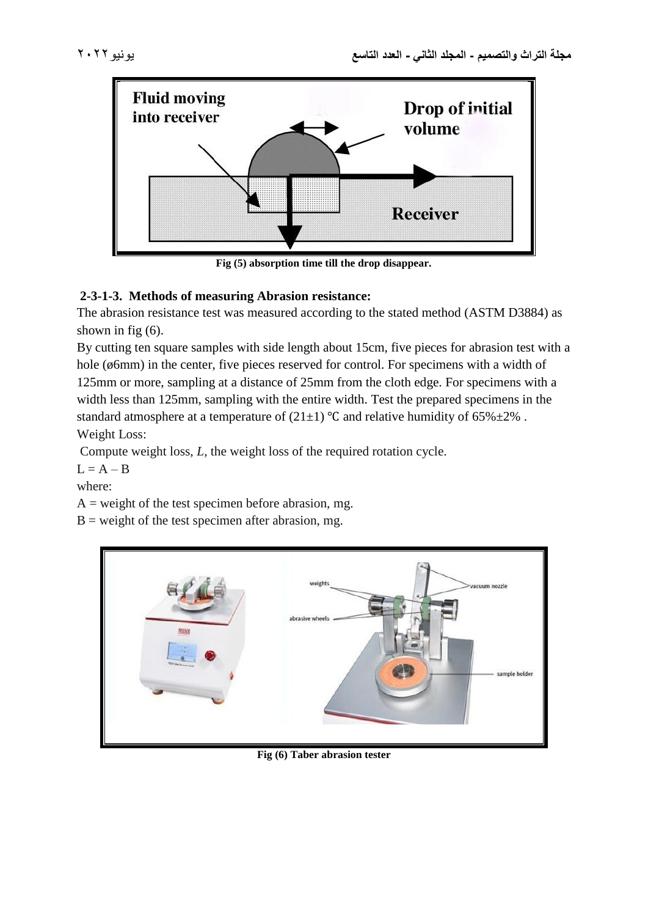



**Fig (5) absorption time till the drop disappear.**

# **2-3-1-3. Methods of measuring Abrasion resistance:**

The abrasion resistance test was measured according to the stated method (ASTM D3884) as shown in fig (6).

By cutting ten square samples with side length about 15cm, five pieces for abrasion test with a hole (ø6mm) in the center, five pieces reserved for control. For specimens with a width of 125mm or more, sampling at a distance of 25mm from the cloth edge. For specimens with a width less than 125mm, sampling with the entire width. Test the prepared specimens in the standard atmosphere at a temperature of  $(21\pm 1)$  °C and relative humidity of 65% $\pm 2$ %. Weight Loss:

Compute weight loss, *L*, the weight loss of the required rotation cycle.

 $L = A - B$ 

where:

 $A = weight of the test specimen before a b  
region, mg.$ 

 $B$  = weight of the test specimen after abrasion, mg.



**Fig (6) Taber abrasion tester**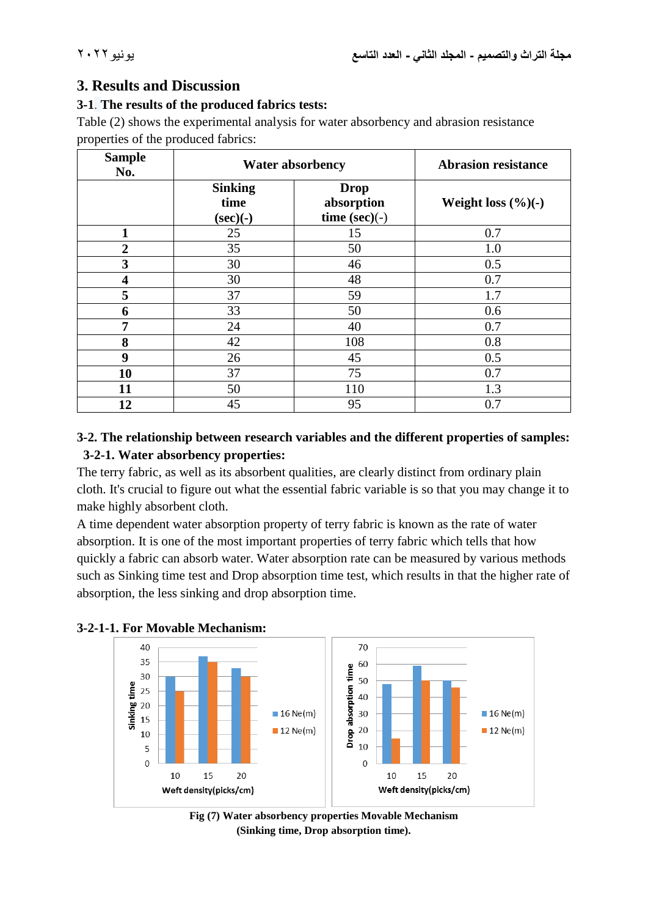# **3. Results and Discussion**

#### **3-1**. **The results of the produced fabrics tests:**

Table (2) shows the experimental analysis for water absorbency and abrasion resistance properties of the produced fabrics:

| <b>Sample</b><br>No. | <b>Water absorbency</b>               |                                               | <b>Abrasion resistance</b>      |
|----------------------|---------------------------------------|-----------------------------------------------|---------------------------------|
|                      | <b>Sinking</b><br>time<br>$(\sec)(-)$ | <b>Drop</b><br>absorption<br>time $(\sec)(-)$ | Weight loss $(\frac{6}{6})$ (-) |
| 1                    | 25                                    | 15                                            | 0.7                             |
| $\overline{2}$       | 35                                    | 50                                            | 1.0                             |
| 3                    | 30                                    | 46                                            | 0.5                             |
| 4                    | 30                                    | 48                                            | 0.7                             |
| 5                    | 37                                    | 59                                            | 1.7                             |
| 6                    | 33                                    | 50                                            | 0.6                             |
| 7                    | 24                                    | 40                                            | 0.7                             |
| 8                    | 42                                    | 108                                           | 0.8                             |
| 9                    | 26                                    | 45                                            | 0.5                             |
| 10                   | 37                                    | 75                                            | 0.7                             |
| 11                   | 50                                    | 110                                           | 1.3                             |
| 12                   | 45                                    | 95                                            | 0.7                             |

# **3-2. The relationship between research variables and the different properties of samples: 3-2-1. Water absorbency properties:**

The terry fabric, as well as its absorbent qualities, are clearly distinct from ordinary plain cloth. It's crucial to figure out what the essential fabric variable is so that you may change it to make highly absorbent cloth.

A time dependent water absorption property of terry fabric is known as the rate of water absorption. It is one of the most important properties of terry fabric which tells that how quickly a fabric can absorb water. Water absorption rate can be measured by various methods such as Sinking time test and Drop absorption time test, which results in that the higher rate of absorption, the less sinking and drop absorption time.





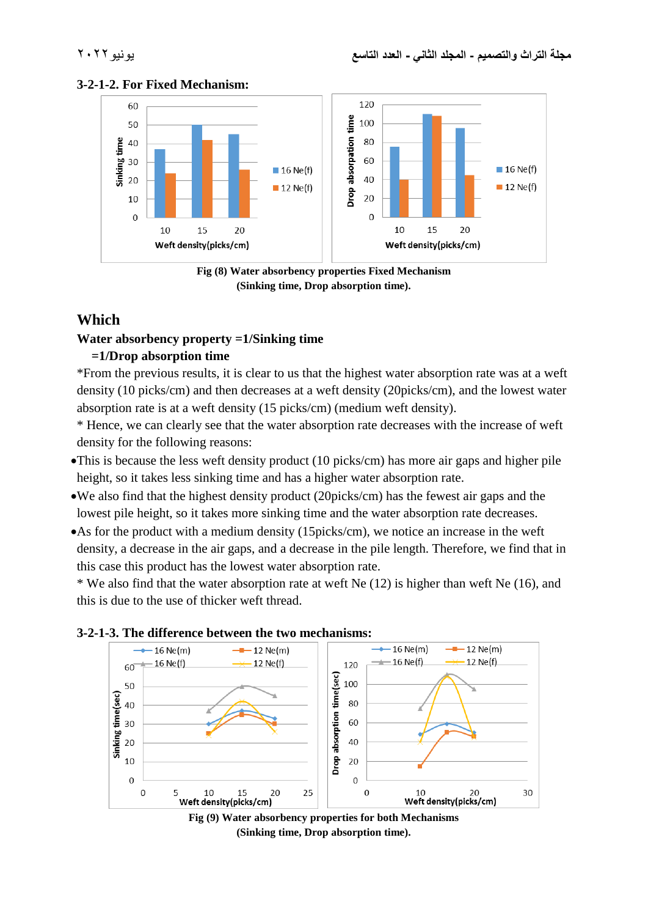





# **Which**

#### **Water absorbency property =1/Sinking time**

#### **=1/Drop absorption time**

\*From the previous results, it is clear to us that the highest water absorption rate was at a weft density (10 picks/cm) and then decreases at a weft density (20picks/cm), and the lowest water absorption rate is at a weft density (15 picks/cm) (medium weft density).

\* Hence, we can clearly see that the water absorption rate decreases with the increase of weft density for the following reasons:

- This is because the less weft density product (10 picks/cm) has more air gaps and higher pile height, so it takes less sinking time and has a higher water absorption rate.
- We also find that the highest density product (20picks/cm) has the fewest air gaps and the lowest pile height, so it takes more sinking time and the water absorption rate decreases.
- As for the product with a medium density (15picks/cm), we notice an increase in the weft density, a decrease in the air gaps, and a decrease in the pile length. Therefore, we find that in this case this product has the lowest water absorption rate.

\* We also find that the water absorption rate at weft Ne (12) is higher than weft Ne (16), and this is due to the use of thicker weft thread.





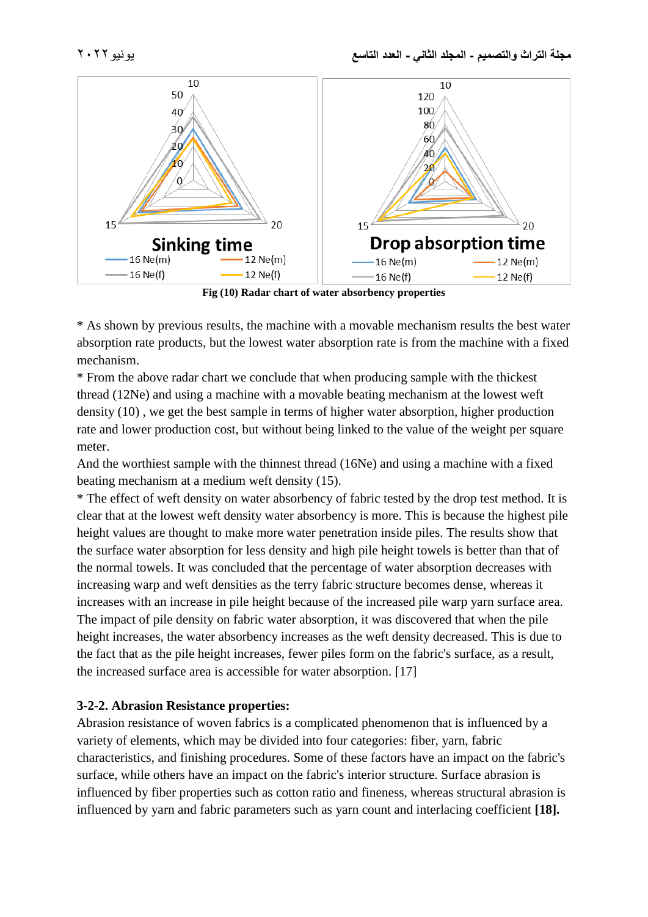

**Fig (10) Radar chart of water absorbency properties**

\* As shown by previous results, the machine with a movable mechanism results the best water absorption rate products, but the lowest water absorption rate is from the machine with a fixed mechanism.

\* From the above radar chart we conclude that when producing sample with the thickest thread (12Ne) and using a machine with a movable beating mechanism at the lowest weft density (10) , we get the best sample in terms of higher water absorption, higher production rate and lower production cost, but without being linked to the value of the weight per square meter.

And the worthiest sample with the thinnest thread (16Ne) and using a machine with a fixed beating mechanism at a medium weft density (15).

\* The effect of weft density on water absorbency of fabric tested by the drop test method. It is clear that at the lowest weft density water absorbency is more. This is because the highest pile height values are thought to make more water penetration inside piles. The results show that the surface water absorption for less density and high pile height towels is better than that of the normal towels. It was concluded that the percentage of water absorption decreases with increasing warp and weft densities as the terry fabric structure becomes dense, whereas it increases with an increase in pile height because of the increased pile warp yarn surface area. The impact of pile density on fabric water absorption, it was discovered that when the pile height increases, the water absorbency increases as the weft density decreased. This is due to the fact that as the pile height increases, fewer piles form on the fabric's surface, as a result, the increased surface area is accessible for water absorption. [17]

#### **3-2-2. Abrasion Resistance properties:**

Abrasion resistance of woven fabrics is a complicated phenomenon that is influenced by a variety of elements, which may be divided into four categories: fiber, yarn, fabric characteristics, and finishing procedures. Some of these factors have an impact on the fabric's surface, while others have an impact on the fabric's interior structure. Surface abrasion is influenced by fiber properties such as cotton ratio and fineness, whereas structural abrasion is influenced by yarn and fabric parameters such as yarn count and interlacing coefficient **[18].**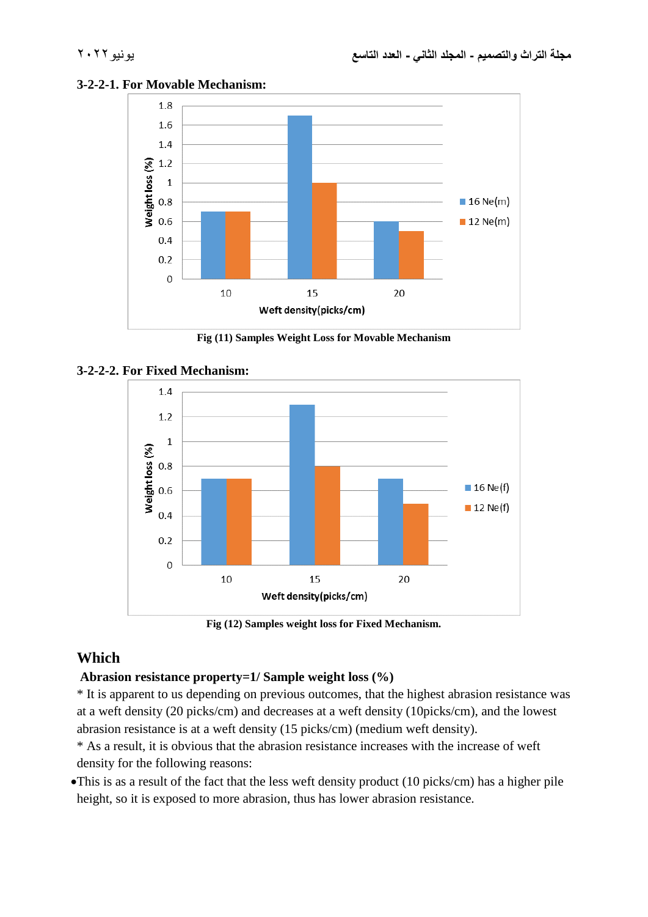

#### **3-2-2-1. For Movable Mechanism:**





#### **3-2-2-2. For Fixed Mechanism:**

**Fig (12) Samples weight loss for Fixed Mechanism.**

# **Which**

#### **Abrasion resistance property=1/ Sample weight loss (%)**

\* It is apparent to us depending on previous outcomes, that the highest abrasion resistance was at a weft density (20 picks/cm) and decreases at a weft density (10picks/cm), and the lowest abrasion resistance is at a weft density (15 picks/cm) (medium weft density).

\* As a result, it is obvious that the abrasion resistance increases with the increase of weft density for the following reasons:

This is as a result of the fact that the less weft density product (10 picks/cm) has a higher pile height, so it is exposed to more abrasion, thus has lower abrasion resistance.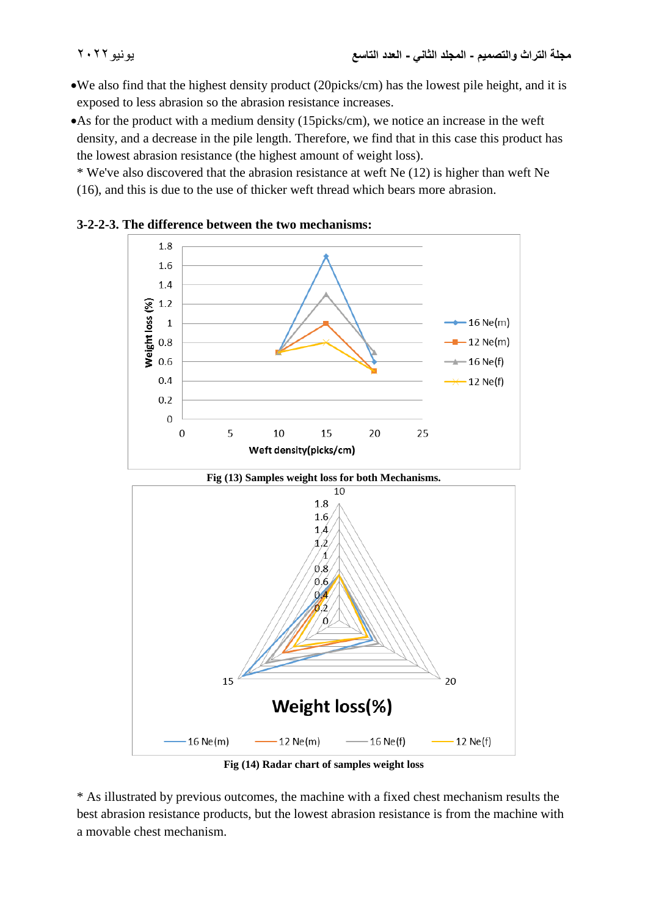- We also find that the highest density product (20picks/cm) has the lowest pile height, and it is exposed to less abrasion so the abrasion resistance increases.
- As for the product with a medium density (15picks/cm), we notice an increase in the weft density, and a decrease in the pile length. Therefore, we find that in this case this product has the lowest abrasion resistance (the highest amount of weight loss).

\* We've also discovered that the abrasion resistance at weft Ne (12) is higher than weft Ne (16), and this is due to the use of thicker weft thread which bears more abrasion.



**3-2-2-3. The difference between the two mechanisms:**

**Fig (14) Radar chart of samples weight loss**

\* As illustrated by previous outcomes, the machine with a fixed chest mechanism results the best abrasion resistance products, but the lowest abrasion resistance is from the machine with a movable chest mechanism.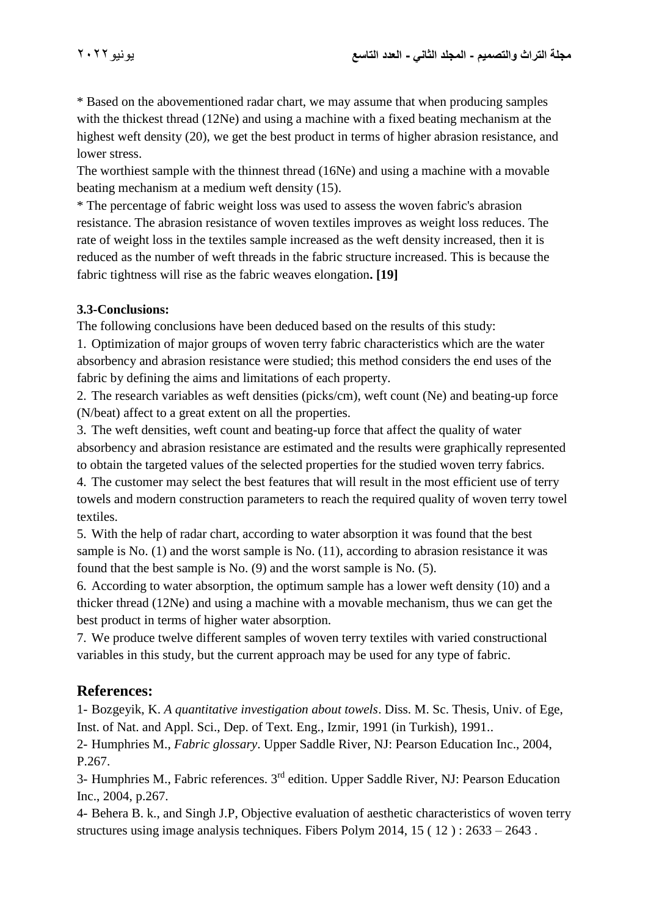\* Based on the abovementioned radar chart, we may assume that when producing samples with the thickest thread (12Ne) and using a machine with a fixed beating mechanism at the highest weft density (20), we get the best product in terms of higher abrasion resistance, and lower stress.

The worthiest sample with the thinnest thread (16Ne) and using a machine with a movable beating mechanism at a medium weft density (15).

\* The percentage of fabric weight loss was used to assess the woven fabric's abrasion resistance. The abrasion resistance of woven textiles improves as weight loss reduces. The rate of weight loss in the textiles sample increased as the weft density increased, then it is reduced as the number of weft threads in the fabric structure increased. This is because the fabric tightness will rise as the fabric weaves elongation**. [19]**

# **3.3-Conclusions:**

The following conclusions have been deduced based on the results of this study:

1. Optimization of major groups of woven terry fabric characteristics which are the water absorbency and abrasion resistance were studied; this method considers the end uses of the fabric by defining the aims and limitations of each property.

2. The research variables as weft densities (picks/cm), weft count (Ne) and beating-up force (N/beat) affect to a great extent on all the properties.

3. The weft densities, weft count and beating-up force that affect the quality of water absorbency and abrasion resistance are estimated and the results were graphically represented to obtain the targeted values of the selected properties for the studied woven terry fabrics.

4. The customer may select the best features that will result in the most efficient use of terry towels and modern construction parameters to reach the required quality of woven terry towel textiles.

5. With the help of radar chart, according to water absorption it was found that the best sample is No. (1) and the worst sample is No. (11), according to abrasion resistance it was found that the best sample is No. (9) and the worst sample is No. (5).

6. According to water absorption, the optimum sample has a lower weft density (10) and a thicker thread (12Ne) and using a machine with a movable mechanism, thus we can get the best product in terms of higher water absorption.

7. We produce twelve different samples of woven terry textiles with varied constructional variables in this study, but the current approach may be used for any type of fabric.

# **References:**

1- Bozgeyik, K. *A quantitative investigation about towels*. Diss. M. Sc. Thesis, Univ. of Ege, Inst. of Nat. and Appl. Sci., Dep. of Text. Eng., Izmir, 1991 (in Turkish), 1991..

2- Humphries M., *Fabric glossary*. Upper Saddle River, NJ: Pearson Education Inc., 2004, P.267.

3- Humphries M., Fabric references. 3rd edition. Upper Saddle River, NJ: Pearson Education Inc., 2004, p.267.

4- Behera B. k., and Singh J.P, Objective evaluation of aesthetic characteristics of woven terry structures using image analysis techniques. Fibers Polym 2014,  $15(12): 2633 - 2643$ .